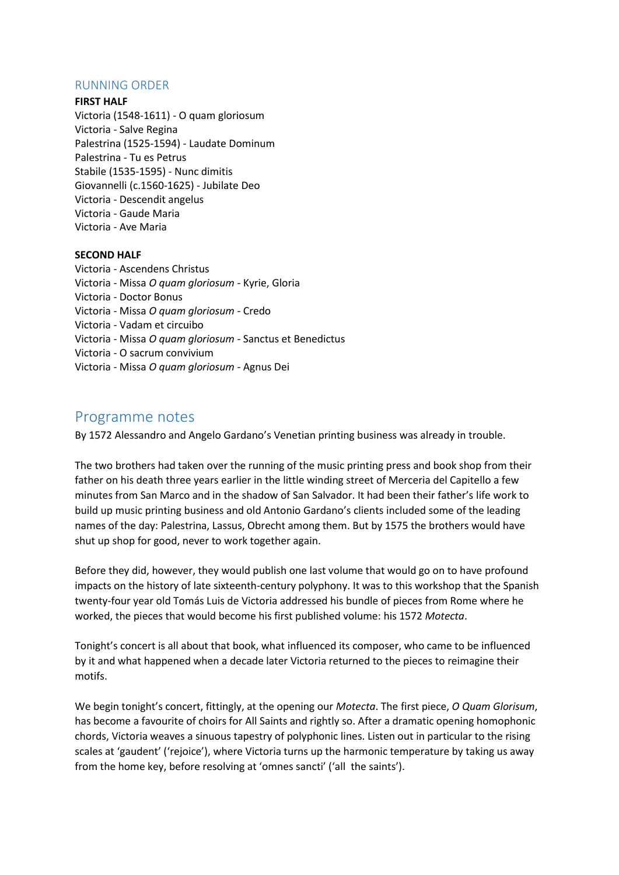# RUNNING ORDER

## **FIRST HALF**

Victoria (1548-1611) - O quam gloriosum Victoria - Salve Regina Palestrina (1525-1594) - Laudate Dominum Palestrina - Tu es Petrus Stabile (1535-1595) - Nunc dimitis Giovannelli (c.1560-1625) - Jubilate Deo Victoria - Descendit angelus Victoria - Gaude Maria Victoria - Ave Maria

# **SECOND HALF**

Victoria - Ascendens Christus Victoria - Missa *O quam gloriosum* - Kyrie, Gloria Victoria - Doctor Bonus Victoria - Missa *O quam gloriosum* - Credo Victoria - Vadam et circuibo Victoria - Missa *O quam gloriosum* - Sanctus et Benedictus Victoria - O sacrum convivium Victoria - Missa *O quam gloriosum* - Agnus Dei

# Programme notes

By 1572 Alessandro and Angelo Gardano's Venetian printing business was already in trouble.

The two brothers had taken over the running of the music printing press and book shop from their father on his death three years earlier in the little winding street of Merceria del Capitello a few minutes from San Marco and in the shadow of San Salvador. It had been their father's life work to build up music printing business and old Antonio Gardano's clients included some of the leading names of the day: Palestrina, Lassus, Obrecht among them. But by 1575 the brothers would have shut up shop for good, never to work together again.

Before they did, however, they would publish one last volume that would go on to have profound impacts on the history of late sixteenth-century polyphony. It was to this workshop that the Spanish twenty-four year old Tomás Luis de Victoria addressed his bundle of pieces from Rome where he worked, the pieces that would become his first published volume: his 1572 *Motecta*.

Tonight's concert is all about that book, what influenced its composer, who came to be influenced by it and what happened when a decade later Victoria returned to the pieces to reimagine their motifs.

We begin tonight's concert, fittingly, at the opening our *Motecta*. The first piece, *O Quam Glorisum*, has become a favourite of choirs for All Saints and rightly so. After a dramatic opening homophonic chords, Victoria weaves a sinuous tapestry of polyphonic lines. Listen out in particular to the rising scales at 'gaudent' ('rejoice'), where Victoria turns up the harmonic temperature by taking us away from the home key, before resolving at 'omnes sancti' ('all the saints').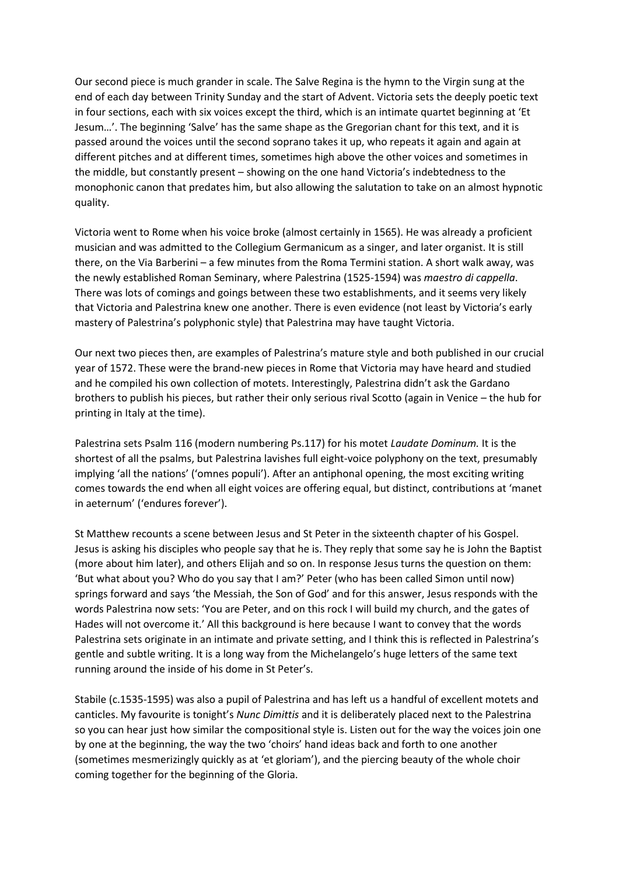Our second piece is much grander in scale. The Salve Regina is the hymn to the Virgin sung at the end of each day between Trinity Sunday and the start of Advent. Victoria sets the deeply poetic text in four sections, each with six voices except the third, which is an intimate quartet beginning at 'Et Jesum…'. The beginning 'Salve' has the same shape as the Gregorian chant for this text, and it is passed around the voices until the second soprano takes it up, who repeats it again and again at different pitches and at different times, sometimes high above the other voices and sometimes in the middle, but constantly present – showing on the one hand Victoria's indebtedness to the monophonic canon that predates him, but also allowing the salutation to take on an almost hypnotic quality.

Victoria went to Rome when his voice broke (almost certainly in 1565). He was already a proficient musician and was admitted to the Collegium Germanicum as a singer, and later organist. It is still there, on the Via Barberini – a few minutes from the Roma Termini station. A short walk away, was the newly established Roman Seminary, where Palestrina (1525-1594) was *maestro di cappella*. There was lots of comings and goings between these two establishments, and it seems very likely that Victoria and Palestrina knew one another. There is even evidence (not least by Victoria's early mastery of Palestrina's polyphonic style) that Palestrina may have taught Victoria.

Our next two pieces then, are examples of Palestrina's mature style and both published in our crucial year of 1572. These were the brand-new pieces in Rome that Victoria may have heard and studied and he compiled his own collection of motets. Interestingly, Palestrina didn't ask the Gardano brothers to publish his pieces, but rather their only serious rival Scotto (again in Venice – the hub for printing in Italy at the time).

Palestrina sets Psalm 116 (modern numbering Ps.117) for his motet *Laudate Dominum.* It is the shortest of all the psalms, but Palestrina lavishes full eight-voice polyphony on the text, presumably implying 'all the nations' ('omnes populi'). After an antiphonal opening, the most exciting writing comes towards the end when all eight voices are offering equal, but distinct, contributions at 'manet in aeternum' ('endures forever').

St Matthew recounts a scene between Jesus and St Peter in the sixteenth chapter of his Gospel. Jesus is asking his disciples who people say that he is. They reply that some say he is John the Baptist (more about him later), and others Elijah and so on. In response Jesus turns the question on them: 'But what about you? Who do you say that I am?' Peter (who has been called Simon until now) springs forward and says 'the Messiah, the Son of God' and for this answer, Jesus responds with the words Palestrina now sets: 'You are Peter, and on this rock I will build my church, and the gates of Hades will not overcome it.' All this background is here because I want to convey that the words Palestrina sets originate in an intimate and private setting, and I think this is reflected in Palestrina's gentle and subtle writing. It is a long way from the Michelangelo's huge letters of the same text running around the inside of his dome in St Peter's.

Stabile (c.1535-1595) was also a pupil of Palestrina and has left us a handful of excellent motets and canticles. My favourite is tonight's *Nunc Dimittis* and it is deliberately placed next to the Palestrina so you can hear just how similar the compositional style is. Listen out for the way the voices join one by one at the beginning, the way the two 'choirs' hand ideas back and forth to one another (sometimes mesmerizingly quickly as at 'et gloriam'), and the piercing beauty of the whole choir coming together for the beginning of the Gloria.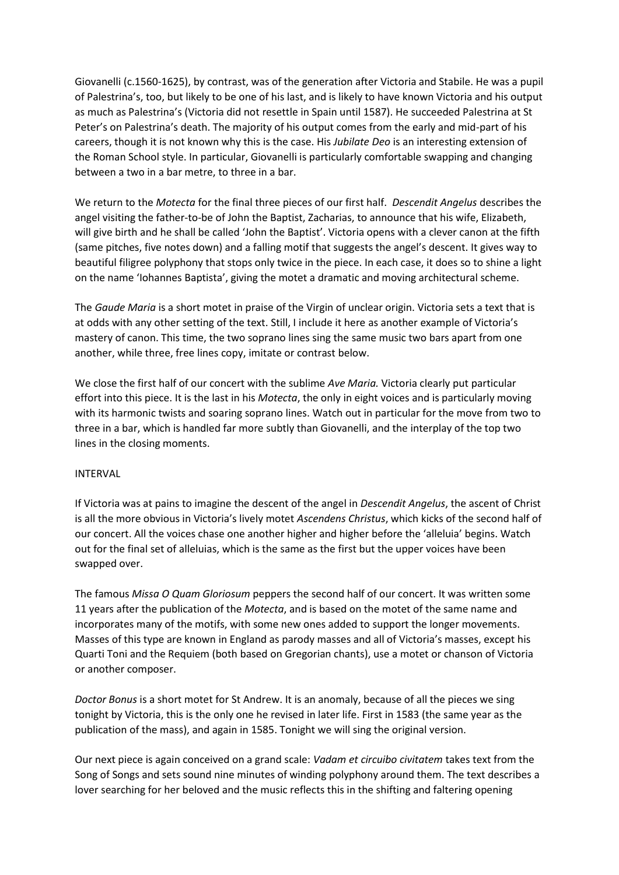Giovanelli (c.1560-1625), by contrast, was of the generation after Victoria and Stabile. He was a pupil of Palestrina's, too, but likely to be one of his last, and is likely to have known Victoria and his output as much as Palestrina's (Victoria did not resettle in Spain until 1587). He succeeded Palestrina at St Peter's on Palestrina's death. The majority of his output comes from the early and mid-part of his careers, though it is not known why this is the case. His *Jubilate Deo* is an interesting extension of the Roman School style. In particular, Giovanelli is particularly comfortable swapping and changing between a two in a bar metre, to three in a bar.

We return to the *Motecta* for the final three pieces of our first half. *Descendit Angelus* describes the angel visiting the father-to-be of John the Baptist, Zacharias, to announce that his wife, Elizabeth, will give birth and he shall be called 'John the Baptist'. Victoria opens with a clever canon at the fifth (same pitches, five notes down) and a falling motif that suggests the angel's descent. It gives way to beautiful filigree polyphony that stops only twice in the piece. In each case, it does so to shine a light on the name 'Iohannes Baptista', giving the motet a dramatic and moving architectural scheme.

The *Gaude Maria* is a short motet in praise of the Virgin of unclear origin. Victoria sets a text that is at odds with any other setting of the text. Still, I include it here as another example of Victoria's mastery of canon. This time, the two soprano lines sing the same music two bars apart from one another, while three, free lines copy, imitate or contrast below.

We close the first half of our concert with the sublime *Ave Maria.* Victoria clearly put particular effort into this piece. It is the last in his *Motecta*, the only in eight voices and is particularly moving with its harmonic twists and soaring soprano lines. Watch out in particular for the move from two to three in a bar, which is handled far more subtly than Giovanelli, and the interplay of the top two lines in the closing moments.

## INTERVAL

If Victoria was at pains to imagine the descent of the angel in *Descendit Angelus*, the ascent of Christ is all the more obvious in Victoria's lively motet *Ascendens Christus*, which kicks of the second half of our concert. All the voices chase one another higher and higher before the 'alleluia' begins. Watch out for the final set of alleluias, which is the same as the first but the upper voices have been swapped over.

The famous *Missa O Quam Gloriosum* peppers the second half of our concert. It was written some 11 years after the publication of the *Motecta*, and is based on the motet of the same name and incorporates many of the motifs, with some new ones added to support the longer movements. Masses of this type are known in England as parody masses and all of Victoria's masses, except his Quarti Toni and the Requiem (both based on Gregorian chants), use a motet or chanson of Victoria or another composer.

*Doctor Bonus* is a short motet for St Andrew. It is an anomaly, because of all the pieces we sing tonight by Victoria, this is the only one he revised in later life. First in 1583 (the same year as the publication of the mass), and again in 1585. Tonight we will sing the original version.

Our next piece is again conceived on a grand scale: *Vadam et circuibo civitatem* takes text from the Song of Songs and sets sound nine minutes of winding polyphony around them. The text describes a lover searching for her beloved and the music reflects this in the shifting and faltering opening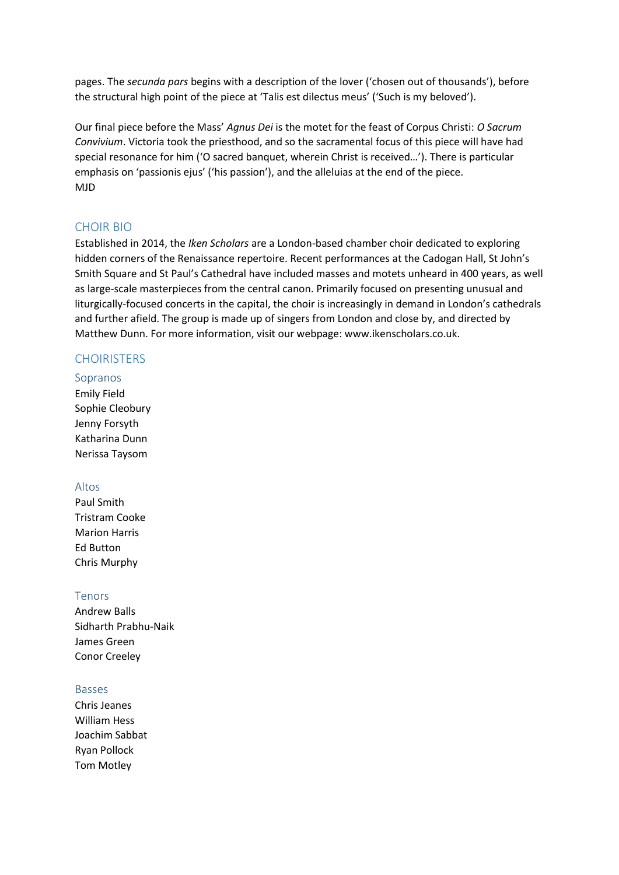pages. The *secunda pars* begins with a description of the lover ('chosen out of thousands'), before the structural high point of the piece at 'Talis est dilectus meus' ('Such is my beloved').

Our final piece before the Mass' *Agnus Dei* is the motet for the feast of Corpus Christi: *O Sacrum Convivium*. Victoria took the priesthood, and so the sacramental focus of this piece will have had special resonance for him ('O sacred banquet, wherein Christ is received…'). There is particular emphasis on 'passionis ejus' ('his passion'), and the alleluias at the end of the piece. MJD

# CHOIR BIO

Established in 2014, the *Iken Scholars* are a London-based chamber choir dedicated to exploring hidden corners of the Renaissance repertoire. Recent performances at the Cadogan Hall, St John's Smith Square and St Paul's Cathedral have included masses and motets unheard in 400 years, as well as large-scale masterpieces from the central canon. Primarily focused on presenting unusual and liturgically-focused concerts in the capital, the choir is increasingly in demand in London's cathedrals and further afield. The group is made up of singers from London and close by, and directed by Matthew Dunn. For more information, visit our webpage: www.ikenscholars.co.uk.

# **CHOIRISTERS**

## Sopranos

Emily Field Sophie Cleobury Jenny Forsyth Katharina Dunn Nerissa Taysom

# Altos

Paul Smith Tristram Cooke Marion Harris Ed Button Chris Murphy

## Tenors

Andrew Balls Sidharth Prabhu-Naik James Green Conor Creeley

## Basses

Chris Jeanes William Hess Joachim Sabbat Ryan Pollock Tom Motley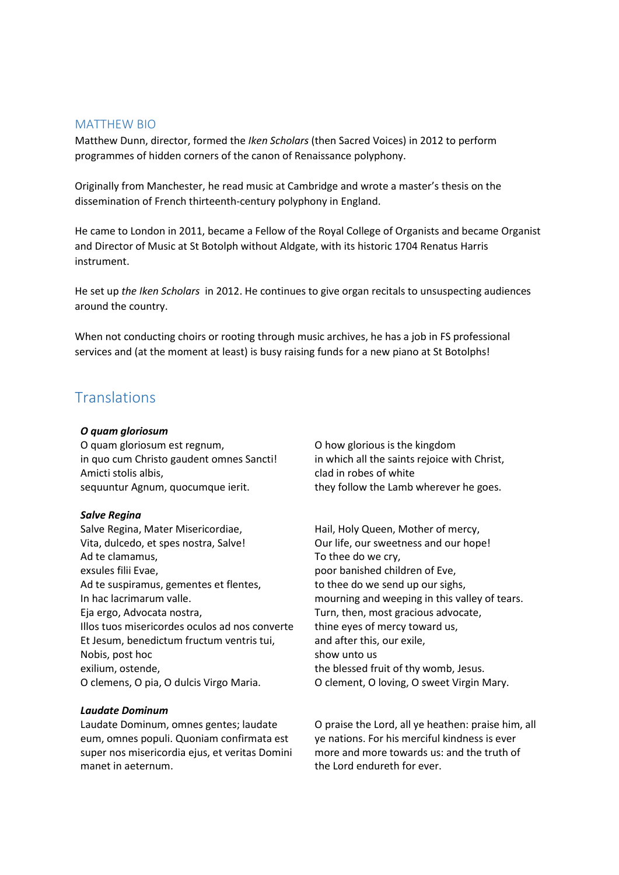# MATTHEW BIO

Matthew Dunn, director, formed the *Iken Scholars* (then Sacred Voices) in 2012 to perform programmes of hidden corners of the canon of Renaissance polyphony.

Originally from Manchester, he read music at Cambridge and wrote a master's thesis on the dissemination of French thirteenth-century polyphony in England.

He came to London in 2011, became a Fellow of the Royal College of Organists and became Organist and Director of Music at St Botolph without Aldgate, with its historic 1704 Renatus Harris instrument.

He set up *the Iken Scholars* in 2012. He continues to give organ recitals to unsuspecting audiences around the country.

When not conducting choirs or rooting through music archives, he has a job in FS professional services and (at the moment at least) is busy raising funds for a new piano at St Botolphs!

# **Translations**

#### *O quam gloriosum*

O quam gloriosum est regnum, in quo cum Christo gaudent omnes Sancti! Amicti stolis albis, sequuntur Agnum, quocumque ierit.

#### *Salve Regina*

Salve Regina, Mater Misericordiae, Vita, dulcedo, et spes nostra, Salve! Ad te clamamus, exsules filii Evae, Ad te suspiramus, gementes et flentes, In hac lacrimarum valle. Eja ergo, Advocata nostra, Illos tuos misericordes oculos ad nos converte Et Jesum, benedictum fructum ventris tui, Nobis, post hoc exilium, ostende, O clemens, O pia, O dulcis Virgo Maria.

## *Laudate Dominum*

Laudate Dominum, omnes gentes; laudate eum, omnes populi. Quoniam confirmata est super nos misericordia ejus, et veritas Domini manet in aeternum.

O how glorious is the kingdom in which all the saints rejoice with Christ, clad in robes of white they follow the Lamb wherever he goes.

Hail, Holy Queen, Mother of mercy, Our life, our sweetness and our hope! To thee do we cry, poor banished children of Eve, to thee do we send up our sighs, mourning and weeping in this valley of tears. Turn, then, most gracious advocate, thine eyes of mercy toward us, and after this, our exile, show unto us the blessed fruit of thy womb, Jesus. O clement, O loving, O sweet Virgin Mary.

O praise the Lord, all ye heathen: praise him, all ye nations. For his merciful kindness is ever more and more towards us: and the truth of the Lord endureth for ever.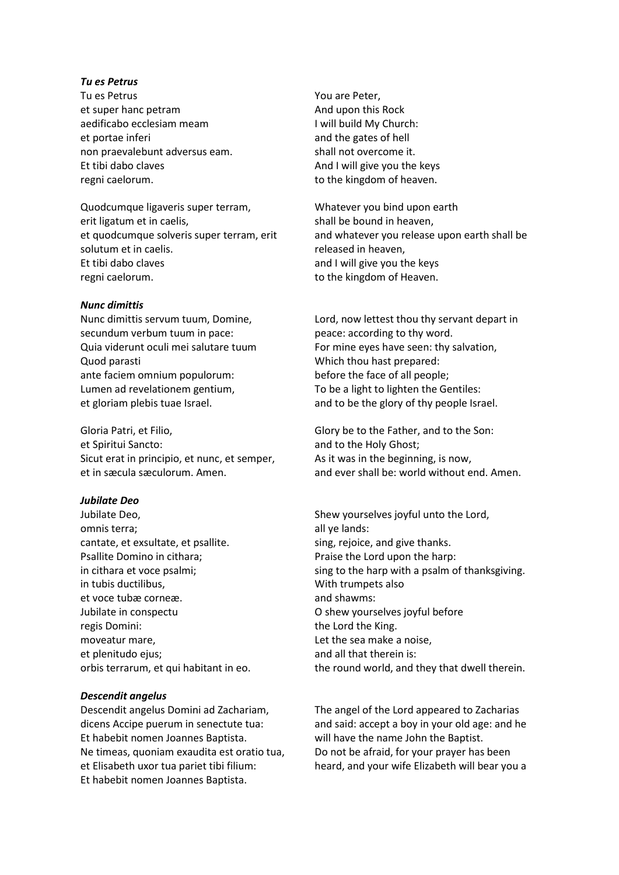#### *Tu es Petrus*

Tu es Petrus et super hanc petram aedificabo ecclesiam meam et portae inferi non praevalebunt adversus eam. Et tibi dabo claves regni caelorum.

Quodcumque ligaveris super terram, erit ligatum et in caelis, et quodcumque solveris super terram, erit solutum et in caelis. Et tibi dabo claves regni caelorum.

#### *Nunc dimittis*

Nunc dimittis servum tuum, Domine, secundum verbum tuum in pace: Quia viderunt oculi mei salutare tuum Quod parasti ante faciem omnium populorum: Lumen ad revelationem gentium, et gloriam plebis tuae Israel.

Gloria Patri, et Filio, et Spiritui Sancto: Sicut erat in principio, et nunc, et semper, et in sæcula sæculorum. Amen.

#### *Jubilate Deo*

Jubilate Deo, omnis terra; cantate, et exsultate, et psallite. Psallite Domino in cithara; in cithara et voce psalmi; in tubis ductilibus, et voce tubæ corneæ. Jubilate in conspectu regis Domini: moveatur mare, et plenitudo ejus; orbis terrarum, et qui habitant in eo.

#### *Descendit angelus*

Descendit angelus Domini ad Zachariam, dicens Accipe puerum in senectute tua: Et habebit nomen Joannes Baptista. Ne timeas, quoniam exaudita est oratio tua, et Elisabeth uxor tua pariet tibi filium: Et habebit nomen Joannes Baptista.

You are Peter, And upon this Rock I will build My Church: and the gates of hell shall not overcome it. And I will give you the keys to the kingdom of heaven.

Whatever you bind upon earth shall be bound in heaven, and whatever you release upon earth shall be released in heaven, and I will give you the keys to the kingdom of Heaven.

Lord, now lettest thou thy servant depart in peace: according to thy word. For mine eyes have seen: thy salvation, Which thou hast prepared: before the face of all people; To be a light to lighten the Gentiles: and to be the glory of thy people Israel.

Glory be to the Father, and to the Son: and to the Holy Ghost; As it was in the beginning, is now, and ever shall be: world without end. Amen.

Shew yourselves joyful unto the Lord, all ye lands: sing, rejoice, and give thanks. Praise the Lord upon the harp: sing to the harp with a psalm of thanksgiving. With trumpets also and shawms: O shew yourselves joyful before the Lord the King. Let the sea make a noise, and all that therein is: the round world, and they that dwell therein.

The angel of the Lord appeared to Zacharias and said: accept a boy in your old age: and he will have the name John the Baptist. Do not be afraid, for your prayer has been heard, and your wife Elizabeth will bear you a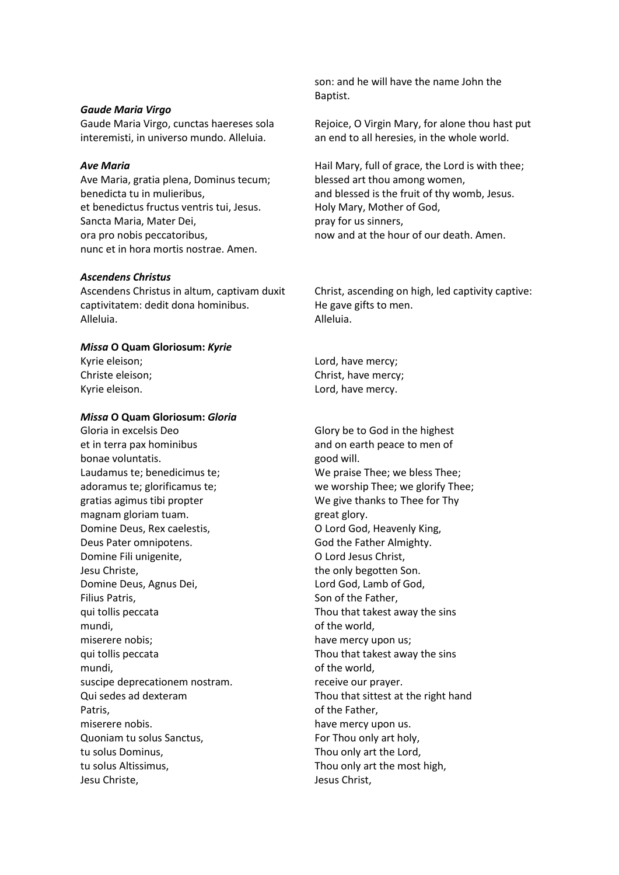#### *Gaude Maria Virgo*

Gaude Maria Virgo, cunctas haereses sola interemisti, in universo mundo. Alleluia.

#### *Ave Maria*

Ave Maria, gratia plena, Dominus tecum; benedicta tu in mulieribus, et benedictus fructus ventris tui, Jesus. Sancta Maria, Mater Dei, ora pro nobis peccatoribus, nunc et in hora mortis nostrae. Amen.

#### *Ascendens Christus*

Ascendens Christus in altum, captivam duxit captivitatem: dedit dona hominibus. Alleluia.

# *Missa* **O Quam Gloriosum:** *Kyrie*

Kyrie eleison; Christe eleison; Kyrie eleison.

## *Missa* **O Quam Gloriosum:** *Gloria*

Gloria in excelsis Deo et in terra pax hominibus bonae voluntatis. Laudamus te; benedicimus te; adoramus te; glorificamus te; gratias agimus tibi propter magnam gloriam tuam. Domine Deus, Rex caelestis, Deus Pater omnipotens. Domine Fili unigenite, Jesu Christe, Domine Deus, Agnus Dei, Filius Patris, qui tollis peccata mundi, miserere nobis; qui tollis peccata mundi, suscipe deprecationem nostram. Qui sedes ad dexteram Patris, miserere nobis. Quoniam tu solus Sanctus, tu solus Dominus, tu solus Altissimus, Jesu Christe,

son: and he will have the name John the Baptist.

Rejoice, O Virgin Mary, for alone thou hast put an end to all heresies, in the whole world.

Hail Mary, full of grace, the Lord is with thee; blessed art thou among women, and blessed is the fruit of thy womb, Jesus. Holy Mary, Mother of God, pray for us sinners, now and at the hour of our death. Amen.

Christ, ascending on high, led captivity captive: He gave gifts to men. Alleluia.

Lord, have mercy; Christ, have mercy; Lord, have mercy.

Glory be to God in the highest and on earth peace to men of good will. We praise Thee; we bless Thee; we worship Thee; we glorify Thee; We give thanks to Thee for Thy great glory. O Lord God, Heavenly King, God the Father Almighty. O Lord Jesus Christ, the only begotten Son. Lord God, Lamb of God, Son of the Father, Thou that takest away the sins of the world, have mercy upon us; Thou that takest away the sins of the world, receive our prayer. Thou that sittest at the right hand of the Father, have mercy upon us. For Thou only art holy, Thou only art the Lord, Thou only art the most high, Jesus Christ,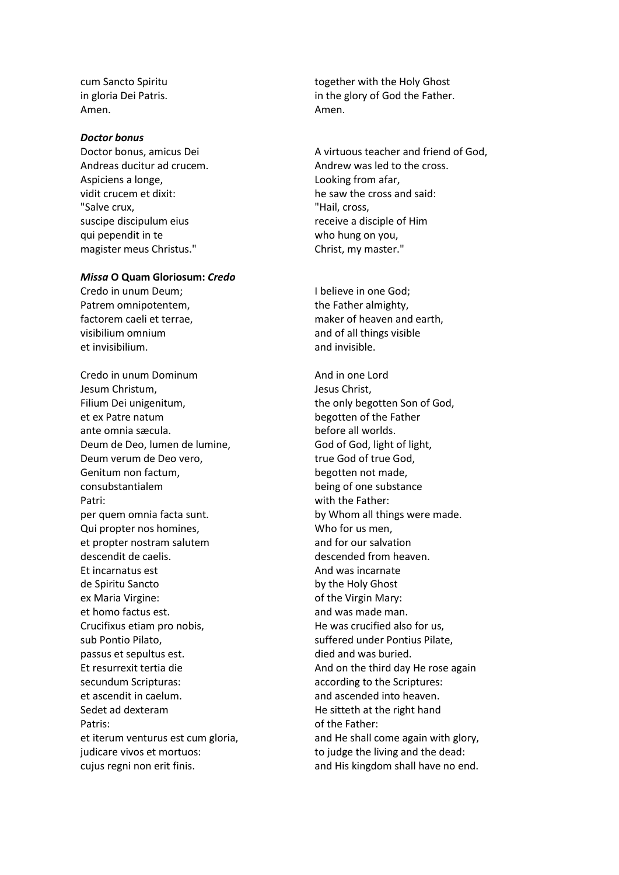cum Sancto Spiritu in gloria Dei Patris. Amen.

#### *Doctor bonus*

Doctor bonus, amicus Dei Andreas ducitur ad crucem. Aspiciens a longe, vidit crucem et dixit: "Salve crux, suscipe discipulum eius qui pependit in te magister meus Christus."

#### *Missa* **O Quam Gloriosum:** *Credo*

Credo in unum Deum; Patrem omnipotentem, factorem caeli et terrae, visibilium omnium et invisibilium.

Credo in unum Dominum Jesum Christum, Filium Dei unigenitum, et ex Patre natum ante omnia sæcula. Deum de Deo, lumen de lumine, Deum verum de Deo vero, Genitum non factum, consubstantialem Patri: per quem omnia facta sunt. Qui propter nos homines, et propter nostram salutem descendit de caelis. Et incarnatus est de Spiritu Sancto ex Maria Virgine: et homo factus est. Crucifixus etiam pro nobis, sub Pontio Pilato, passus et sepultus est. Et resurrexit tertia die secundum Scripturas: et ascendit in caelum. Sedet ad dexteram Patris: et iterum venturus est cum gloria, judicare vivos et mortuos: cujus regni non erit finis.

together with the Holy Ghost in the glory of God the Father. Amen.

A virtuous teacher and friend of God, Andrew was led to the cross. Looking from afar, he saw the cross and said: "Hail, cross, receive a disciple of Him who hung on you, Christ, my master."

I believe in one God; the Father almighty, maker of heaven and earth, and of all things visible and invisible.

And in one Lord Jesus Christ, the only begotten Son of God, begotten of the Father before all worlds. God of God, light of light, true God of true God, begotten not made, being of one substance with the Father: by Whom all things were made. Who for us men, and for our salvation descended from heaven. And was incarnate by the Holy Ghost of the Virgin Mary: and was made man. He was crucified also for us, suffered under Pontius Pilate, died and was buried. And on the third day He rose again according to the Scriptures: and ascended into heaven. He sitteth at the right hand of the Father: and He shall come again with glory, to judge the living and the dead: and His kingdom shall have no end.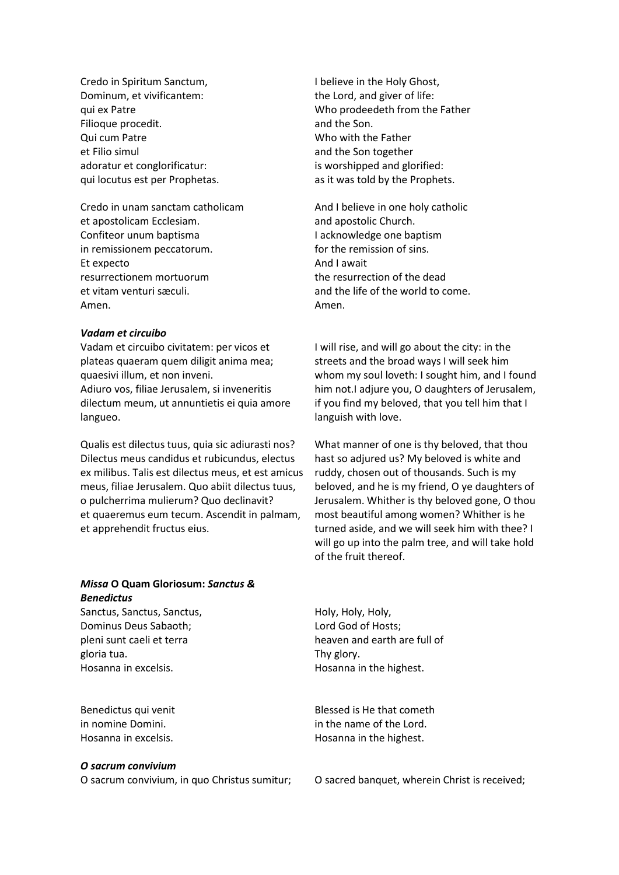Credo in Spiritum Sanctum, Dominum, et vivificantem: qui ex Patre Filioque procedit. Qui cum Patre et Filio simul adoratur et conglorificatur: qui locutus est per Prophetas.

Credo in unam sanctam catholicam et apostolicam Ecclesiam. Confiteor unum baptisma in remissionem peccatorum. Et expecto resurrectionem mortuorum et vitam venturi sæculi. Amen.

#### *Vadam et circuibo*

Vadam et circuibo civitatem: per vicos et plateas quaeram quem diligit anima mea; quaesivi illum, et non inveni. Adiuro vos, filiae Jerusalem, si inveneritis dilectum meum, ut annuntietis ei quia amore langueo.

Qualis est dilectus tuus, quia sic adiurasti nos? Dilectus meus candidus et rubicundus, electus ex milibus. Talis est dilectus meus, et est amicus meus, filiae Jerusalem. Quo abiit dilectus tuus, o pulcherrima mulierum? Quo declinavit? et quaeremus eum tecum. Ascendit in palmam, et apprehendit fructus eius.

## *Missa* **O Quam Gloriosum:** *Sanctus & Benedictus*

Sanctus, Sanctus, Sanctus, Dominus Deus Sabaoth; pleni sunt caeli et terra gloria tua. Hosanna in excelsis.

Benedictus qui venit in nomine Domini. Hosanna in excelsis.

#### *O sacrum convivium*

I believe in the Holy Ghost, the Lord, and giver of life: Who prodeedeth from the Father and the Son. Who with the Father and the Son together is worshipped and glorified: as it was told by the Prophets.

And I believe in one holy catholic and apostolic Church. I acknowledge one baptism for the remission of sins. And I await the resurrection of the dead and the life of the world to come. Amen.

I will rise, and will go about the city: in the streets and the broad ways I will seek him whom my soul loveth: I sought him, and I found him not.I adjure you, O daughters of Jerusalem, if you find my beloved, that you tell him that I languish with love.

What manner of one is thy beloved, that thou hast so adjured us? My beloved is white and ruddy, chosen out of thousands. Such is my beloved, and he is my friend, O ye daughters of Jerusalem. Whither is thy beloved gone, O thou most beautiful among women? Whither is he turned aside, and we will seek him with thee? I will go up into the palm tree, and will take hold of the fruit thereof.

Holy, Holy, Holy, Lord God of Hosts; heaven and earth are full of Thy glory. Hosanna in the highest.

Blessed is He that cometh in the name of the Lord. Hosanna in the highest.

O sacrum convivium, in quo Christus sumitur; O sacred banquet, wherein Christ is received;